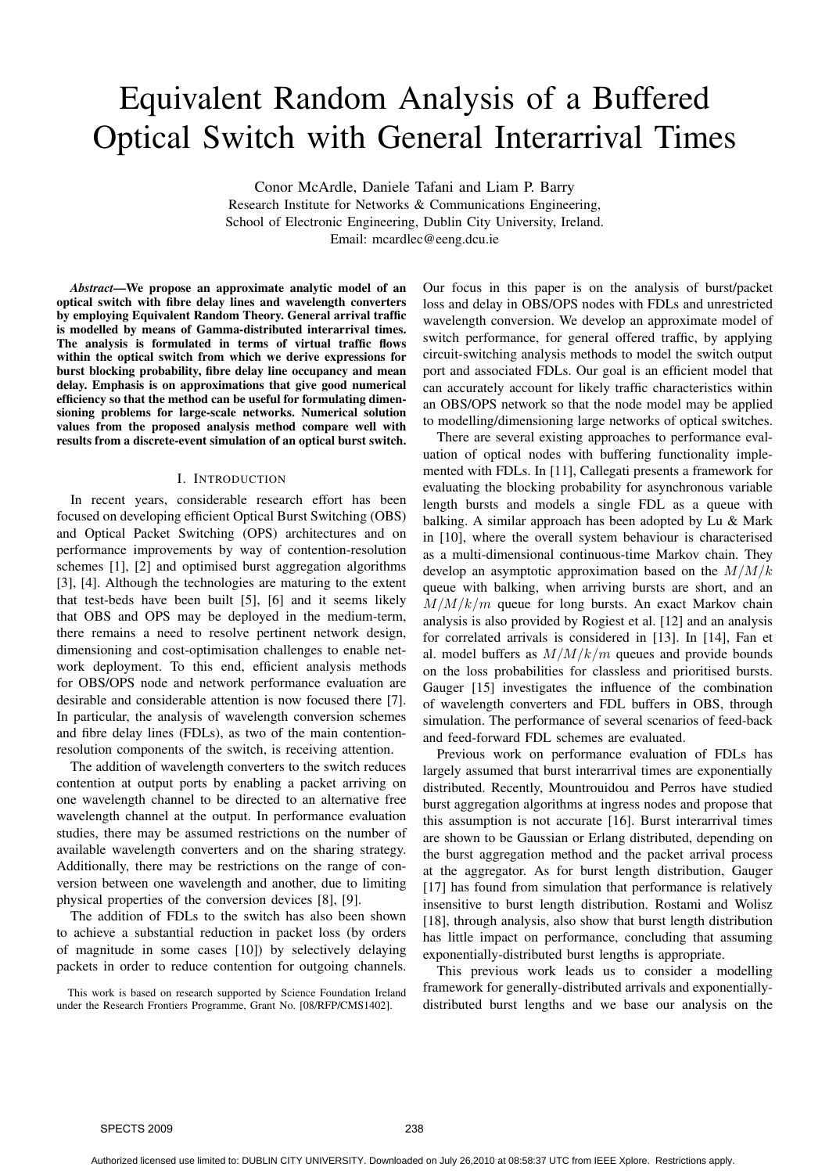# Equivalent Random Analysis of a Buffered Optical Switch with General Interarrival Times

Conor McArdle, Daniele Tafani and Liam P. Barry Research Institute for Networks & Communications Engineering,

School of Electronic Engineering, Dublin City University, Ireland.

Email: mcardlec@eeng.dcu.ie

*Abstract***—We propose an approximate analytic model of an optical switch with fibre delay lines and wavelength converters by employing Equivalent Random Theory. General arrival traffic is modelled by means of Gamma-distributed interarrival times. The analysis is formulated in terms of virtual traffic flows within the optical switch from which we derive expressions for burst blocking probability, fibre delay line occupancy and mean delay. Emphasis is on approximations that give good numerical efficiency so that the method can be useful for formulating dimensioning problems for large-scale networks. Numerical solution values from the proposed analysis method compare well with results from a discrete-event simulation of an optical burst switch.**

#### I. INTRODUCTION

In recent years, considerable research effort has been focused on developing efficient Optical Burst Switching (OBS) and Optical Packet Switching (OPS) architectures and on performance improvements by way of contention-resolution schemes [1], [2] and optimised burst aggregation algorithms [3], [4]. Although the technologies are maturing to the extent that test-beds have been built [5], [6] and it seems likely that OBS and OPS may be deployed in the medium-term, there remains a need to resolve pertinent network design, dimensioning and cost-optimisation challenges to enable network deployment. To this end, efficient analysis methods for OBS/OPS node and network performance evaluation are desirable and considerable attention is now focused there [7]. In particular, the analysis of wavelength conversion schemes and fibre delay lines (FDLs), as two of the main contentionresolution components of the switch, is receiving attention.

The addition of wavelength converters to the switch reduces contention at output ports by enabling a packet arriving on one wavelength channel to be directed to an alternative free wavelength channel at the output. In performance evaluation studies, there may be assumed restrictions on the number of available wavelength converters and on the sharing strategy. Additionally, there may be restrictions on the range of conversion between one wavelength and another, due to limiting physical properties of the conversion devices [8], [9].

The addition of FDLs to the switch has also been shown to achieve a substantial reduction in packet loss (by orders of magnitude in some cases [10]) by selectively delaying packets in order to reduce contention for outgoing channels.

This work is based on research supported by Science Foundation Ireland under the Research Frontiers Programme, Grant No. [08/RFP/CMS1402].

Our focus in this paper is on the analysis of burst/packet loss and delay in OBS/OPS nodes with FDLs and unrestricted wavelength conversion. We develop an approximate model of switch performance, for general offered traffic, by applying circuit-switching analysis methods to model the switch output port and associated FDLs. Our goal is an efficient model that can accurately account for likely traffic characteristics within an OBS/OPS network so that the node model may be applied to modelling/dimensioning large networks of optical switches.

There are several existing approaches to performance evaluation of optical nodes with buffering functionality implemented with FDLs. In [11], Callegati presents a framework for evaluating the blocking probability for asynchronous variable length bursts and models a single FDL as a queue with balking. A similar approach has been adopted by Lu & Mark in [10], where the overall system behaviour is characterised as a multi-dimensional continuous-time Markov chain. They develop an asymptotic approximation based on the  $M/M/k$ queue with balking, when arriving bursts are short, and an  $M/M/k/m$  queue for long bursts. An exact Markov chain analysis is also provided by Rogiest et al. [12] and an analysis for correlated arrivals is considered in [13]. In [14], Fan et al. model buffers as  $M/M/k/m$  queues and provide bounds on the loss probabilities for classless and prioritised bursts. Gauger [15] investigates the influence of the combination of wavelength converters and FDL buffers in OBS, through simulation. The performance of several scenarios of feed-back and feed-forward FDL schemes are evaluated.

Previous work on performance evaluation of FDLs has largely assumed that burst interarrival times are exponentially distributed. Recently, Mountrouidou and Perros have studied burst aggregation algorithms at ingress nodes and propose that this assumption is not accurate [16]. Burst interarrival times are shown to be Gaussian or Erlang distributed, depending on the burst aggregation method and the packet arrival process at the aggregator. As for burst length distribution, Gauger [17] has found from simulation that performance is relatively insensitive to burst length distribution. Rostami and Wolisz [18], through analysis, also show that burst length distribution has little impact on performance, concluding that assuming exponentially-distributed burst lengths is appropriate.

This previous work leads us to consider a modelling framework for generally-distributed arrivals and exponentiallydistributed burst lengths and we base our analysis on the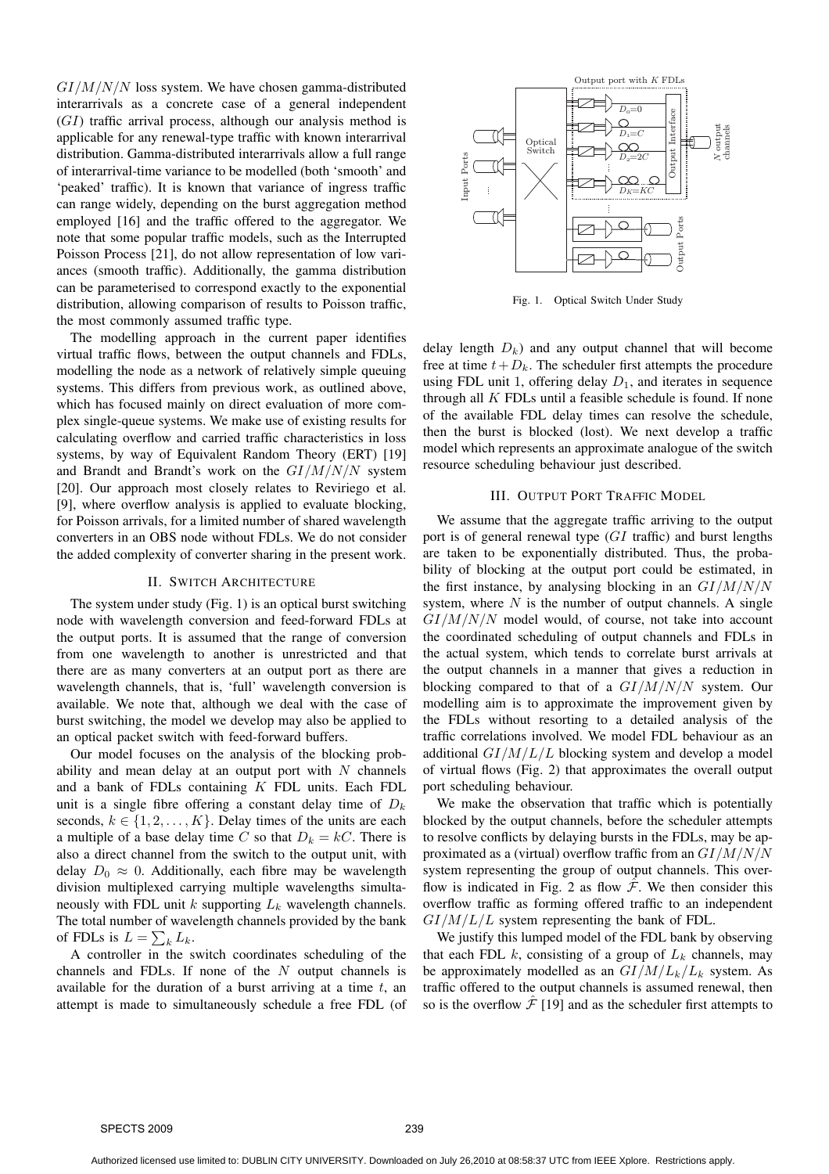$GI/M/N/N$  loss system. We have chosen gamma-distributed interarrivals as a concrete case of a general independent  $(GI)$  traffic arrival process, although our analysis method is applicable for any renewal-type traffic with known interarrival distribution. Gamma-distributed interarrivals allow a full range of interarrival-time variance to be modelled (both 'smooth' and 'peaked' traffic). It is known that variance of ingress traffic can range widely, depending on the burst aggregation method employed [16] and the traffic offered to the aggregator. We note that some popular traffic models, such as the Interrupted Poisson Process [21], do not allow representation of low variances (smooth traffic). Additionally, the gamma distribution can be parameterised to correspond exactly to the exponential distribution, allowing comparison of results to Poisson traffic, the most commonly assumed traffic type.

The modelling approach in the current paper identifies virtual traffic flows, between the output channels and FDLs, modelling the node as a network of relatively simple queuing systems. This differs from previous work, as outlined above, which has focused mainly on direct evaluation of more complex single-queue systems. We make use of existing results for calculating overflow and carried traffic characteristics in loss systems, by way of Equivalent Random Theory (ERT) [19] and Brandt and Brandt's work on the  $GI/M/N/N$  system [20]. Our approach most closely relates to Reviriego et al. [9], where overflow analysis is applied to evaluate blocking, for Poisson arrivals, for a limited number of shared wavelength converters in an OBS node without FDLs. We do not consider the added complexity of converter sharing in the present work.

#### II. SWITCH ARCHITECTURE

The system under study (Fig. 1) is an optical burst switching node with wavelength conversion and feed-forward FDLs at the output ports. It is assumed that the range of conversion from one wavelength to another is unrestricted and that there are as many converters at an output port as there are wavelength channels, that is, 'full' wavelength conversion is available. We note that, although we deal with the case of burst switching, the model we develop may also be applied to an optical packet switch with feed-forward buffers.

Our model focuses on the analysis of the blocking probability and mean delay at an output port with  $N$  channels and a bank of FDLs containing  $K$  FDL units. Each FDL unit is a single fibre offering a constant delay time of  $D_k$ seconds,  $k \in \{1, 2, ..., K\}$ . Delay times of the units are each a multiple of a base delay time C so that  $D_k = kC$ . There is also a direct channel from the switch to the output unit, with delay  $D_0 \approx 0$ . Additionally, each fibre may be wavelength division multiplexed carrying multiple wavelengths simultaneously with FDL unit  $k$  supporting  $L_k$  wavelength channels. The total number of wavelength channels provided by the bank of FDLs is  $L = \sum_k L_k$ .

A controller in the switch coordinates scheduling of the channels and FDLs. If none of the  $N$  output channels is available for the duration of a burst arriving at a time  $t$ , an attempt is made to simultaneously schedule a free FDL (of



Fig. 1. Optical Switch Under Study

delay length  $D_k$ ) and any output channel that will become free at time  $t+D_k$ . The scheduler first attempts the procedure using FDL unit 1, offering delay  $D_1$ , and iterates in sequence through all  $K$  FDLs until a feasible schedule is found. If none of the available FDL delay times can resolve the schedule, then the burst is blocked (lost). We next develop a traffic model which represents an approximate analogue of the switch resource scheduling behaviour just described.

# III. OUTPUT PORT TRAFFIC MODEL

We assume that the aggregate traffic arriving to the output port is of general renewal type (GI traffic) and burst lengths are taken to be exponentially distributed. Thus, the probability of blocking at the output port could be estimated, in the first instance, by analysing blocking in an  $GI/M/N/N$ system, where  $N$  is the number of output channels. A single  $GI/M/N/N$  model would, of course, not take into account the coordinated scheduling of output channels and FDLs in the actual system, which tends to correlate burst arrivals at the output channels in a manner that gives a reduction in blocking compared to that of a  $GI/M/N/N$  system. Our modelling aim is to approximate the improvement given by the FDLs without resorting to a detailed analysis of the traffic correlations involved. We model FDL behaviour as an additional  $GI/M/L/L$  blocking system and develop a model of virtual flows (Fig. 2) that approximates the overall output port scheduling behaviour.

We make the observation that traffic which is potentially blocked by the output channels, before the scheduler attempts to resolve conflicts by delaying bursts in the FDLs, may be approximated as a (virtual) overflow traffic from an  $GI/M/N/N$ system representing the group of output channels. This overflow is indicated in Fig. 2 as flow  $\hat{\mathcal{F}}$ . We then consider this overflow traffic as forming offered traffic to an independent  $GI/M/L/L$  system representing the bank of FDL.

We justify this lumped model of the FDL bank by observing that each FDL k, consisting of a group of  $L_k$  channels, may be approximately modelled as an  $GI/M/L_k/L_k$  system. As traffic offered to the output channels is assumed renewal, then so is the overflow  $\hat{\mathcal{F}}$  [19] and as the scheduler first attempts to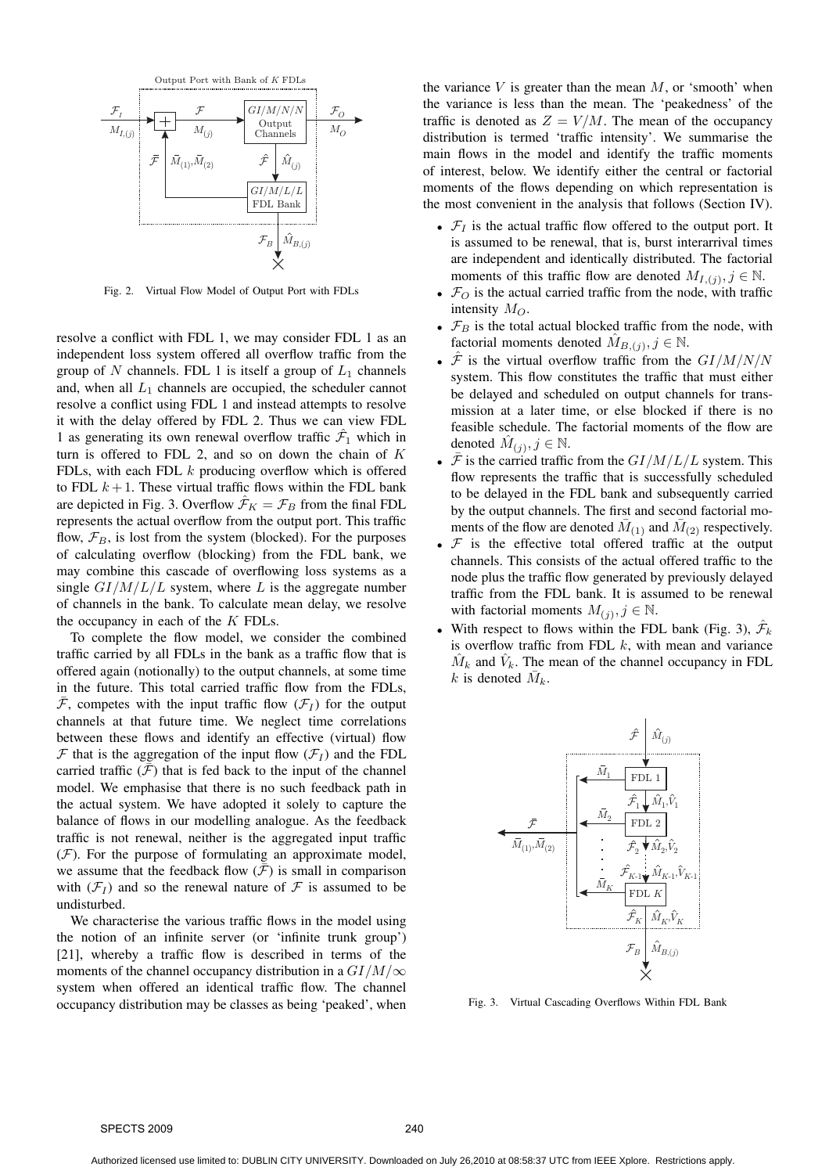

Fig. 2. Virtual Flow Model of Output Port with FDLs

resolve a conflict with FDL 1, we may consider FDL 1 as an independent loss system offered all overflow traffic from the group of N channels. FDL 1 is itself a group of  $L_1$  channels and, when all  $L_1$  channels are occupied, the scheduler cannot resolve a conflict using FDL 1 and instead attempts to resolve it with the delay offered by FDL 2. Thus we can view FDL 1 as generating its own renewal overflow traffic  $\hat{\mathcal{F}}_1$  which in turn is offered to FDL 2, and so on down the chain of  $K$ FDLs, with each FDL  $k$  producing overflow which is offered to FDL  $k+1$ . These virtual traffic flows within the FDL bank are depicted in Fig. 3. Overflow  $\mathcal{F}_K = \mathcal{F}_B$  from the final FDL represents the actual overflow from the output port. This traffic flow,  $\mathcal{F}_B$ , is lost from the system (blocked). For the purposes of calculating overflow (blocking) from the FDL bank, we may combine this cascade of overflowing loss systems as a single  $GI/M/L/L$  system, where L is the aggregate number of channels in the bank. To calculate mean delay, we resolve the occupancy in each of the  $K$  FDLs.

To complete the flow model, we consider the combined traffic carried by all FDLs in the bank as a traffic flow that is offered again (notionally) to the output channels, at some time in the future. This total carried traffic flow from the FDLs,  $\overline{\mathcal{F}}$ , competes with the input traffic flow  $(\mathcal{F}_I)$  for the output channels at that future time. We neglect time correlations between these flows and identify an effective (virtual) flow  $\mathcal F$  that is the aggregation of the input flow  $(\mathcal F_I)$  and the FDL carried traffic  $(\bar{\mathcal{F}})$  that is fed back to the input of the channel model. We emphasise that there is no such feedback path in the actual system. We have adopted it solely to capture the balance of flows in our modelling analogue. As the feedback traffic is not renewal, neither is the aggregated input traffic  $(F)$ . For the purpose of formulating an approximate model, we assume that the feedback flow  $(F)$  is small in comparison with  $(\mathcal{F}_I)$  and so the renewal nature of  $\mathcal F$  is assumed to be undisturbed.

We characterise the various traffic flows in the model using the notion of an infinite server (or 'infinite trunk group') [21], whereby a traffic flow is described in terms of the moments of the channel occupancy distribution in a  $GI/M/\infty$ system when offered an identical traffic flow. The channel occupancy distribution may be classes as being 'peaked', when the variance  $V$  is greater than the mean  $M$ , or 'smooth' when the variance is less than the mean. The 'peakedness' of the traffic is denoted as  $Z = V/M$ . The mean of the occupancy distribution is termed 'traffic intensity'. We summarise the main flows in the model and identify the traffic moments of interest, below. We identify either the central or factorial moments of the flows depending on which representation is the most convenient in the analysis that follows (Section IV).

- $\mathcal{F}_I$  is the actual traffic flow offered to the output port. It is assumed to be renewal, that is, burst interarrival times are independent and identically distributed. The factorial moments of this traffic flow are denoted  $M_{I,(j)}, j \in \mathbb{N}$ .
- $\mathcal{F}_O$  is the actual carried traffic from the node, with traffic intensity  $M_O$ .
- $\mathcal{F}_B$  is the total actual blocked traffic from the node, with factorial moments denoted  $\hat{M}_{B,(j)}, j \in \mathbb{N}$ .
- $\hat{\mathcal{F}}$  is the virtual overflow traffic from the  $GI/M/N/N$ system. This flow constitutes the traffic that must either be delayed and scheduled on output channels for transmission at a later time, or else blocked if there is no feasible schedule. The factorial moments of the flow are denoted  $\hat{M}_{(j)}, j \in \mathbb{N}$ .
- $\mathcal F$  is the carried traffic from the  $GI/M/L/L$  system. This flow represents the traffic that is successfully scheduled to be delayed in the FDL bank and subsequently carried by the output channels. The first and second factorial moments of the flow are denoted  $\bar{M}_{(1)}$  and  $\bar{M}_{(2)}$  respectively.
- $F$  is the effective total offered traffic at the output channels. This consists of the actual offered traffic to the node plus the traffic flow generated by previously delayed traffic from the FDL bank. It is assumed to be renewal with factorial moments  $M_{(j)}$ ,  $j \in \mathbb{N}$ .
- With respect to flows within the FDL bank (Fig. 3),  $\hat{\mathcal{F}}_k$ is overflow traffic from FDL  $k$ , with mean and variance  $\hat{M}_k$  and  $\hat{V}_k$ . The mean of the channel occupancy in FDL k is denoted  $\overline{M}_k$ .



Fig. 3. Virtual Cascading Overflows Within FDL Bank

SPECTS 2009 240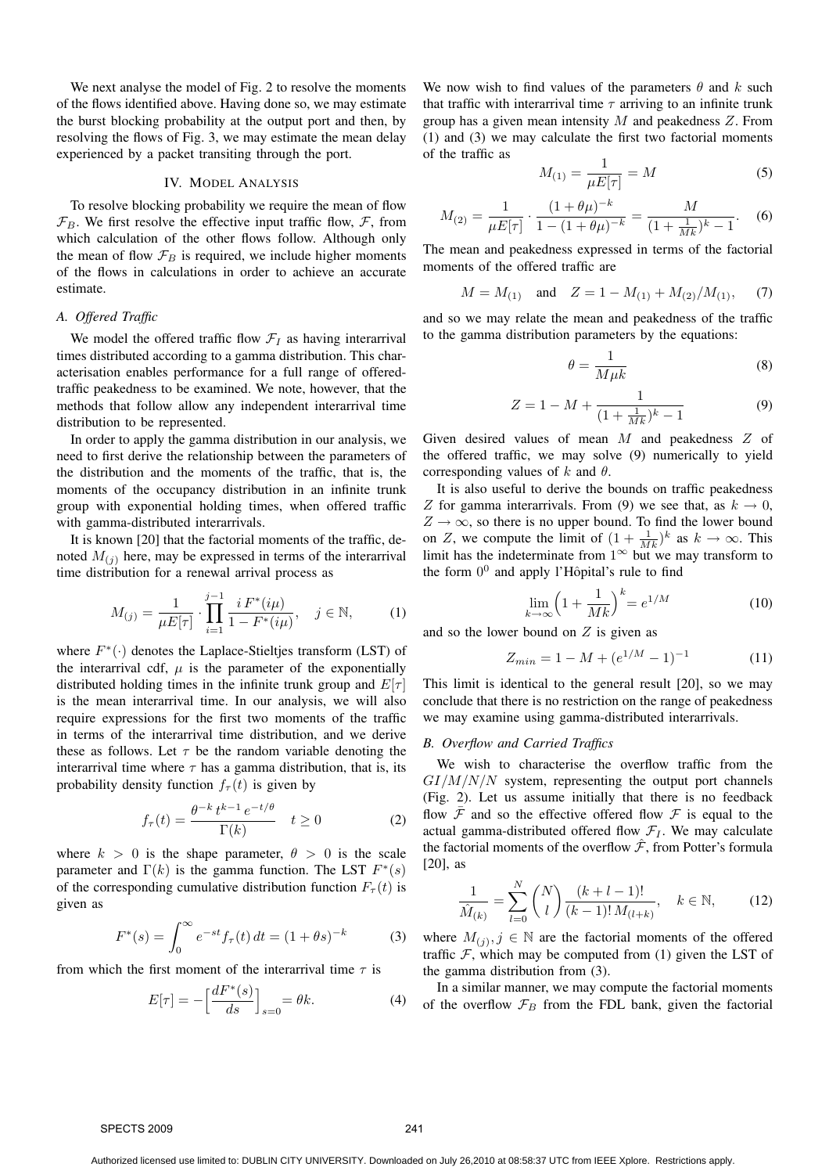We next analyse the model of Fig. 2 to resolve the moments of the flows identified above. Having done so, we may estimate the burst blocking probability at the output port and then, by resolving the flows of Fig. 3, we may estimate the mean delay experienced by a packet transiting through the port.

#### IV. MODEL ANALYSIS

To resolve blocking probability we require the mean of flow  $\mathcal{F}_B$ . We first resolve the effective input traffic flow,  $\mathcal{F}$ , from which calculation of the other flows follow. Although only the mean of flow  $\mathcal{F}_B$  is required, we include higher moments of the flows in calculations in order to achieve an accurate estimate.

## *A. Offered Traffic*

We model the offered traffic flow  $\mathcal{F}_I$  as having interarrival times distributed according to a gamma distribution. This characterisation enables performance for a full range of offeredtraffic peakedness to be examined. We note, however, that the methods that follow allow any independent interarrival time distribution to be represented.

In order to apply the gamma distribution in our analysis, we need to first derive the relationship between the parameters of the distribution and the moments of the traffic, that is, the moments of the occupancy distribution in an infinite trunk group with exponential holding times, when offered traffic with gamma-distributed interarrivals.

It is known [20] that the factorial moments of the traffic, denoted  $M_{(i)}$  here, may be expressed in terms of the interarrival time distribution for a renewal arrival process as

$$
M_{(j)} = \frac{1}{\mu E[\tau]} \cdot \prod_{i=1}^{j-1} \frac{i F^*(i\mu)}{1 - F^*(i\mu)}, \quad j \in \mathbb{N}, \quad (1)
$$

where  $F^*(\cdot)$  denotes the Laplace-Stieltjes transform (LST) of the interarrival cdf,  $\mu$  is the parameter of the exponentially distributed holding times in the infinite trunk group and  $E[\tau]$ is the mean interarrival time. In our analysis, we will also require expressions for the first two moments of the traffic in terms of the interarrival time distribution, and we derive these as follows. Let  $\tau$  be the random variable denoting the interarrival time where  $\tau$  has a gamma distribution, that is, its probability density function  $f_{\tau}(t)$  is given by

$$
f_{\tau}(t) = \frac{\theta^{-k} t^{k-1} e^{-t/\theta}}{\Gamma(k)} \quad t \ge 0 \tag{2}
$$

where  $k > 0$  is the shape parameter,  $\theta > 0$  is the scale parameter and  $\Gamma(k)$  is the gamma function. The LST  $F^*(s)$ of the corresponding cumulative distribution function  $F_{\tau}(t)$  is given as

$$
F^*(s) = \int_0^\infty e^{-st} f_\tau(t) dt = (1 + \theta s)^{-k} \tag{3}
$$

from which the first moment of the interarrival time  $\tau$  is

$$
E[\tau] = -\left[\frac{dF^*(s)}{ds}\right]_{s=0} = \theta k. \tag{4}
$$

We now wish to find values of the parameters  $\theta$  and k such that traffic with interarrival time  $\tau$  arriving to an infinite trunk group has a given mean intensity  $M$  and peakedness  $Z$ . From (1) and (3) we may calculate the first two factorial moments of the traffic as

$$
M_{(1)} = \frac{1}{\mu E[\tau]} = M \tag{5}
$$

$$
M_{(2)} = \frac{1}{\mu E[\tau]} \cdot \frac{(1 + \theta\mu)^{-k}}{1 - (1 + \theta\mu)^{-k}} = \frac{M}{(1 + \frac{1}{Mk})^k - 1}.
$$
 (6)

The mean and peakedness expressed in terms of the factorial moments of the offered traffic are

$$
M = M_{(1)}
$$
 and  $Z = 1 - M_{(1)} + M_{(2)}/M_{(1)}$ , (7)

and so we may relate the mean and peakedness of the traffic to the gamma distribution parameters by the equations:

$$
\theta = \frac{1}{M\mu k} \tag{8}
$$

$$
Z = 1 - M + \frac{1}{(1 + \frac{1}{Mk})^k - 1} \tag{9}
$$

Given desired values of mean M and peakedness Z of the offered traffic, we may solve (9) numerically to yield corresponding values of k and  $\theta$ .

It is also useful to derive the bounds on traffic peakedness Z for gamma interarrivals. From (9) we see that, as  $k \to 0$ ,  $Z \rightarrow \infty$ , so there is no upper bound. To find the lower bound on Z, we compute the limit of  $(1 + \frac{1}{Mk})^k$  as  $k \to \infty$ . This limit has the indeterminate from  $1^{\infty}$  but we may transform to the form  $0^0$  and apply l'Hôpital's rule to find

$$
\lim_{k \to \infty} \left( 1 + \frac{1}{Mk} \right)^k = e^{1/M} \tag{10}
$$

and so the lower bound on  $Z$  is given as

$$
Z_{min} = 1 - M + (e^{1/M} - 1)^{-1}
$$
 (11)

This limit is identical to the general result [20], so we may conclude that there is no restriction on the range of peakedness we may examine using gamma-distributed interarrivals.

## *B. Overflow and Carried Traffics*

We wish to characterise the overflow traffic from the  $GI/M/N/N$  system, representing the output port channels (Fig. 2). Let us assume initially that there is no feedback flow  $\overline{\mathcal{F}}$  and so the effective offered flow  $\mathcal F$  is equal to the actual gamma-distributed offered flow  $\mathcal{F}_I$ . We may calculate the factorial moments of the overflow  $\hat{\mathcal{F}}$ , from Potter's formula [20], as

$$
\frac{1}{\hat{M}_{(k)}} = \sum_{l=0}^{N} \binom{N}{l} \frac{(k+l-1)!}{(k-1)! \, M_{(l+k)}}, \quad k \in \mathbb{N},\tag{12}
$$

where  $M_{(j)}$ ,  $j \in \mathbb{N}$  are the factorial moments of the offered traffic  $F$ , which may be computed from (1) given the LST of the gamma distribution from (3).

In a similar manner, we may compute the factorial moments of the overflow  $\mathcal{F}_B$  from the FDL bank, given the factorial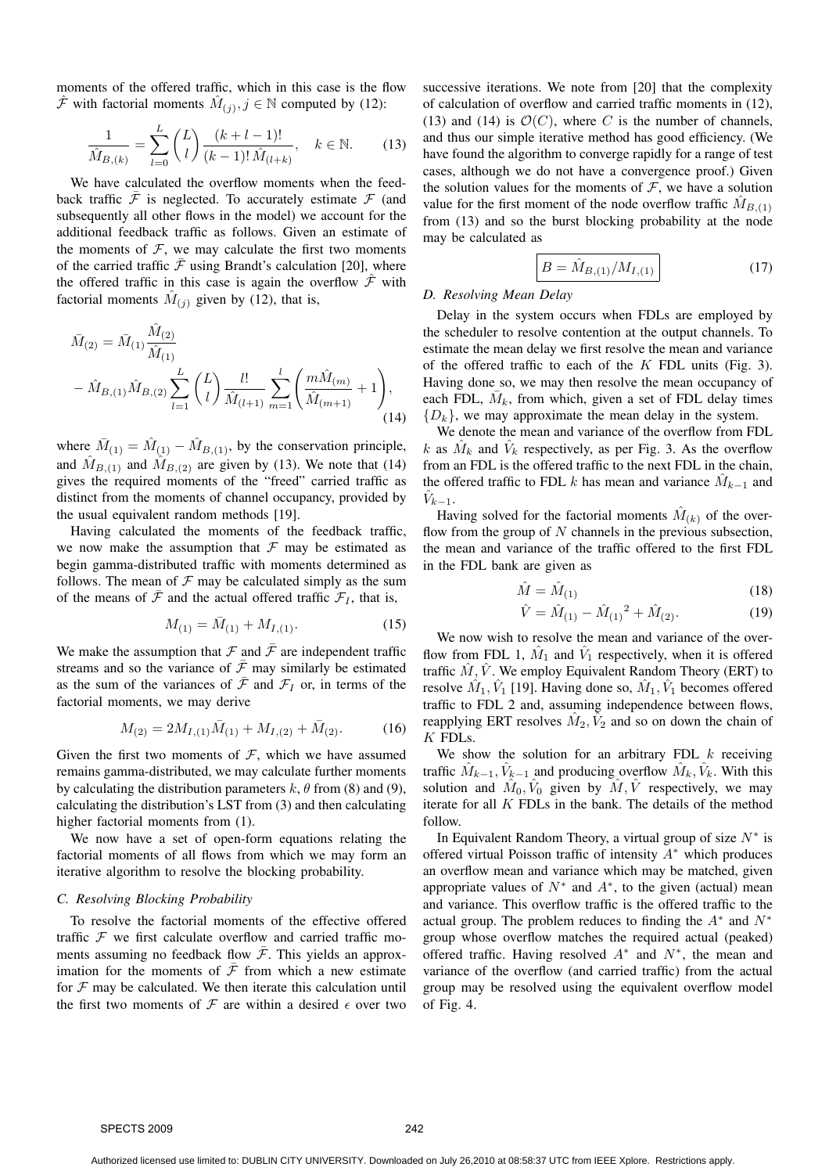moments of the offered traffic, which in this case is the flow  $\hat{\mathcal{F}}$  with factorial moments  $\hat{M}_{(j)}, j \in \mathbb{N}$  computed by (12):

$$
\frac{1}{\hat{M}_{B,(k)}} = \sum_{l=0}^{L} {L \choose l} \frac{(k+l-1)!}{(k-1)! \hat{M}_{(l+k)}}, \quad k \in \mathbb{N}.
$$
 (13)

We have calculated the overflow moments when the feedback traffic  $\overline{\mathcal{F}}$  is neglected. To accurately estimate  $\mathcal F$  (and subsequently all other flows in the model) we account for the additional feedback traffic as follows. Given an estimate of the moments of  $F$ , we may calculate the first two moments of the carried traffic  $\bar{\mathcal{F}}$  using Brandt's calculation [20], where the offered traffic in this case is again the overflow  $\hat{\mathcal{F}}$  with factorial moments  $\hat{M}_{(j)}$  given by (12), that is,

$$
\bar{M}_{(2)} = \bar{M}_{(1)} \frac{\hat{M}_{(2)}}{\hat{M}_{(1)}} - \hat{M}_{B,(1)} \hat{M}_{B,(2)} \sum_{l=1}^{L} {L \choose l} \frac{l!}{\hat{M}_{(l+1)}} \sum_{m=1}^{l} \left( \frac{m \hat{M}_{(m)}}{\hat{M}_{(m+1)}} + 1 \right),
$$
\n(14)

where  $\bar{M}_{(1)} = \hat{M}_{(1)} - \hat{M}_{B,(1)}$ , by the conservation principle, and  $\hat{M}_{B,(1)}$  and  $\hat{M}_{B,(2)}$  are given by (13). We note that (14) gives the required moments of the "freed" carried traffic as distinct from the moments of channel occupancy, provided by the usual equivalent random methods [19].

Having calculated the moments of the feedback traffic, we now make the assumption that  $\mathcal F$  may be estimated as begin gamma-distributed traffic with moments determined as follows. The mean of  $\mathcal F$  may be calculated simply as the sum of the means of  $\bar{\mathcal{F}}$  and the actual offered traffic  $\mathcal{F}_I$ , that is,

$$
M_{(1)} = \bar{M}_{(1)} + M_{I,(1)}.
$$
 (15)

We make the assumption that  $\mathcal F$  and  $\bar{\mathcal F}$  are independent traffic streams and so the variance of  $\bar{\mathcal{F}}$  may similarly be estimated as the sum of the variances of  $\bar{\mathcal{F}}$  and  $\mathcal{F}_I$  or, in terms of the factorial moments, we may derive

$$
M_{(2)} = 2M_{I,(1)}\bar{M}_{(1)} + M_{I,(2)} + \bar{M}_{(2)}.
$$
 (16)

Given the first two moments of  $F$ , which we have assumed remains gamma-distributed, we may calculate further moments by calculating the distribution parameters k,  $\theta$  from (8) and (9), calculating the distribution's LST from (3) and then calculating higher factorial moments from  $(1)$ .

We now have a set of open-form equations relating the factorial moments of all flows from which we may form an iterative algorithm to resolve the blocking probability.

#### *C. Resolving Blocking Probability*

To resolve the factorial moments of the effective offered traffic  $F$  we first calculate overflow and carried traffic moments assuming no feedback flow  $\overline{\mathcal{F}}$ . This yields an approximation for the moments of  $\bar{\mathcal{F}}$  from which a new estimate for  $F$  may be calculated. We then iterate this calculation until the first two moments of  $\mathcal F$  are within a desired  $\epsilon$  over two successive iterations. We note from [20] that the complexity of calculation of overflow and carried traffic moments in (12), (13) and (14) is  $\mathcal{O}(C)$ , where C is the number of channels, and thus our simple iterative method has good efficiency. (We have found the algorithm to converge rapidly for a range of test cases, although we do not have a convergence proof.) Given the solution values for the moments of  $F$ , we have a solution value for the first moment of the node overflow traffic  $\hat{M}_{B,(1)}$ from (13) and so the burst blocking probability at the node may be calculated as

$$
B = \hat{M}_{B,(1)}/M_{I,(1)}
$$
 (17)

# *D. Resolving Mean Delay*

Delay in the system occurs when FDLs are employed by the scheduler to resolve contention at the output channels. To estimate the mean delay we first resolve the mean and variance of the offered traffic to each of the  $K$  FDL units (Fig. 3). Having done so, we may then resolve the mean occupancy of each FDL,  $\overline{M}_k$ , from which, given a set of FDL delay times  ${D_k}$ , we may approximate the mean delay in the system.

We denote the mean and variance of the overflow from FDL k as  $\hat{M}_k$  and  $\hat{V}_k$  respectively, as per Fig. 3. As the overflow from an FDL is the offered traffic to the next FDL in the chain, the offered traffic to FDL k has mean and variance  $\hat{M}_{k-1}$  and  $\hat{V}_{k-1}$ .

Having solved for the factorial moments  $\hat{M}_{(k)}$  of the overflow from the group of  $N$  channels in the previous subsection, the mean and variance of the traffic offered to the first FDL in the FDL bank are given as

$$
\hat{M} = \hat{M}_{(1)}\tag{18}
$$

$$
\hat{V} = \hat{M}_{(1)} - \hat{M}_{(1)}^2 + \hat{M}_{(2)}.
$$
\n(19)

We now wish to resolve the mean and variance of the overflow from FDL 1,  $\hat{M}_1$  and  $\hat{V}_1$  respectively, when it is offered traffic  $\hat{M}$ ,  $\hat{V}$ . We employ Equivalent Random Theory (ERT) to resolve  $\hat{M}_1, \hat{V}_1$  [19]. Having done so,  $\hat{M}_1, \hat{V}_1$  becomes offered traffic to FDL 2 and, assuming independence between flows, reapplying ERT resolves  $\hat{M}_2, \hat{V}_2$  and so on down the chain of  $K$  FDLs.

We show the solution for an arbitrary FDL  $k$  receiving traffic  $\hat{M}_{k-1}, \hat{V}_{k-1}$  and producing overflow  $\hat{M}_k, \hat{V}_k$ . With this solution and  $\hat{M}_0, \hat{V}_0$  given by  $\hat{M}, \hat{V}$  respectively, we may iterate for all  $K$  FDLs in the bank. The details of the method follow.

In Equivalent Random Theory, a virtual group of size  $N^*$  is offered virtual Poisson traffic of intensity  $A^*$  which produces an overflow mean and variance which may be matched, given appropriate values of  $N^*$  and  $A^*$ , to the given (actual) mean and variance. This overflow traffic is the offered traffic to the actual group. The problem reduces to finding the  $A^*$  and  $N^*$ group whose overflow matches the required actual (peaked) offered traffic. Having resolved  $A^*$  and  $N^*$ , the mean and variance of the overflow (and carried traffic) from the actual group may be resolved using the equivalent overflow model of Fig. 4.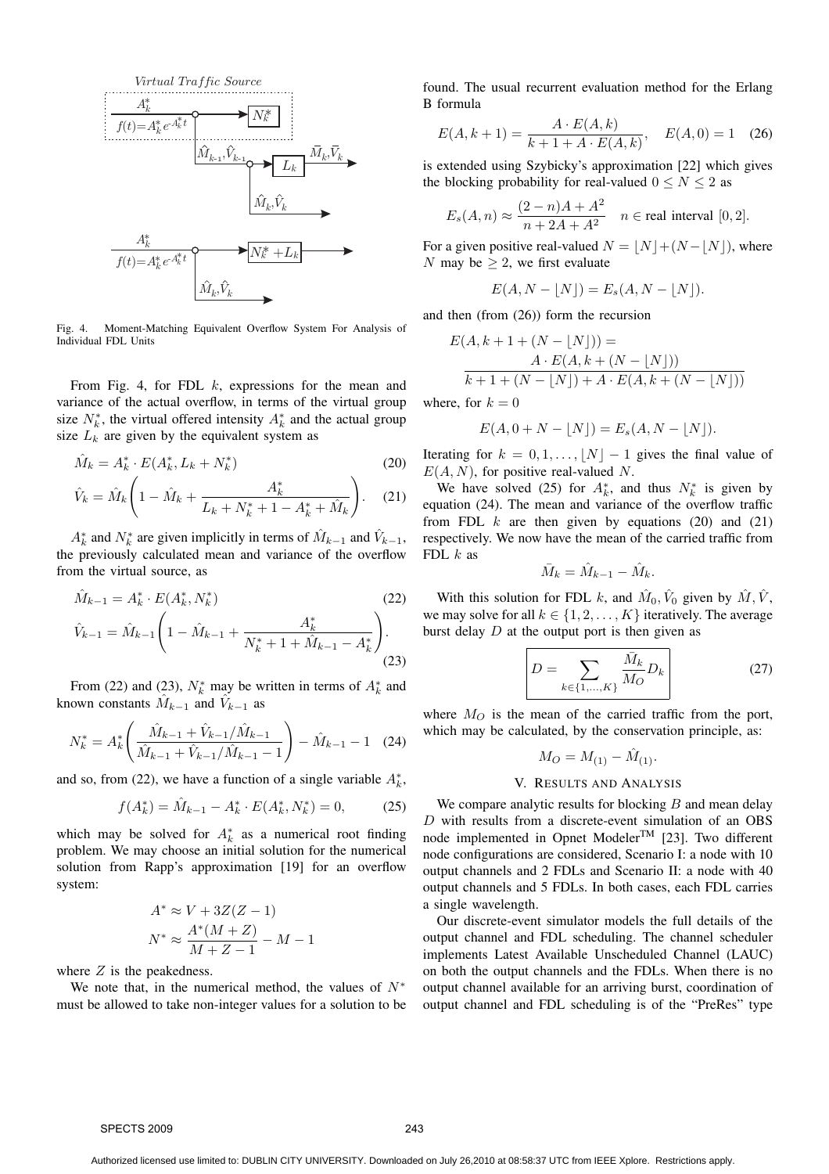

Fig. 4. Moment-Matching Equivalent Overflow System For Analysis of Individual FDL Units

From Fig. 4, for FDL  $k$ , expressions for the mean and variance of the actual overflow, in terms of the virtual group size  $N_k^*$ , the virtual offered intensity  $A_k^*$  and the actual group size  $L_k$  are given by the equivalent system as

$$
\hat{M}_k = A_k^* \cdot E(A_k^*, L_k + N_k^*)
$$
\n<sup>(20)</sup>

$$
\hat{V}_k = \hat{M}_k \left( 1 - \hat{M}_k + \frac{A_k^*}{L_k + N_k^* + 1 - A_k^* + \hat{M}_k} \right). \tag{21}
$$

 $A_k^*$  and  $N_k^*$  are given implicitly in terms of  $\hat{M}_{k-1}$  and  $\hat{V}_{k-1}$ , the previously calculated mean and variance of the overflow from the virtual source, as

$$
\hat{M}_{k-1} = A_k^* \cdot E(A_k^*, N_k^*)
$$
\n
$$
\hat{V}_{k-1} = \hat{M}_{k-1} \left( 1 - \hat{M}_{k-1} + \frac{A_k^*}{N_k^* + 1 + \hat{M}_{k-1} - A_k^*} \right).
$$
\n(22)\n(23)

From (22) and (23),  $N_k^*$  may be written in terms of  $A_k^*$  and known constants  $\hat{M}_{k-1}$  and  $\hat{V}_{k-1}$  as

$$
N_k^* = A_k^* \left( \frac{\hat{M}_{k-1} + \hat{V}_{k-1}/\hat{M}_{k-1}}{\hat{M}_{k-1} + \hat{V}_{k-1}/\hat{M}_{k-1} - 1} \right) - \hat{M}_{k-1} - 1 \quad (24)
$$

and so, from (22), we have a function of a single variable  $A_k^*$ ,

$$
f(A_k^*) = \hat{M}_{k-1} - A_k^* \cdot E(A_k^*, N_k^*) = 0,\tag{25}
$$

which may be solved for  $A_k^*$  as a numerical root finding problem. We may choose an initial solution for the numerical solution from Rapp's approximation [19] for an overflow system:

$$
A^* \approx V + 3Z(Z - 1)
$$
  

$$
N^* \approx \frac{A^*(M + Z)}{M + Z - 1} - M - 1
$$

where  $Z$  is the peakedness.

We note that, in the numerical method, the values of  $N^*$ must be allowed to take non-integer values for a solution to be found. The usual recurrent evaluation method for the Erlang B formula

$$
E(A, k+1) = \frac{A \cdot E(A, k)}{k+1 + A \cdot E(A, k)}, \quad E(A, 0) = 1 \quad (26)
$$

is extended using Szybicky's approximation [22] which gives the blocking probability for real-valued  $0 \le N \le 2$  as

$$
E_s(A, n) \approx \frac{(2-n)A + A^2}{n + 2A + A^2} \quad n \in \text{real interval } [0, 2].
$$

For a given positive real-valued  $N = \lfloor N \rfloor + (N - \lfloor N \rfloor)$ , where N may be  $\geq 2$ , we first evaluate

$$
E(A, N - \lfloor N \rfloor) = E_s(A, N - \lfloor N \rfloor).
$$

and then (from (26)) form the recursion

$$
E(A, k + 1 + (N - \lfloor N \rfloor)) =
$$
  

$$
A \cdot E(A, k + (N - \lfloor N \rfloor))
$$
  

$$
k + 1 + (N - \lfloor N \rfloor) + A \cdot E(A, k + (N - \lfloor N \rfloor))
$$

where, for  $k = 0$ 

$$
E(A, 0 + N - \lfloor N \rfloor) = E_s(A, N - \lfloor N \rfloor).
$$

Iterating for  $k = 0, 1, \ldots, |N| - 1$  gives the final value of  $E(A, N)$ , for positive real-valued N.

We have solved (25) for  $A_k^*$ , and thus  $N_k^*$  is given by equation (24). The mean and variance of the overflow traffic from FDL  $k$  are then given by equations (20) and (21) respectively. We now have the mean of the carried traffic from FDL  $k$  as

$$
\bar{M}_k = \hat{M}_{k-1} - \hat{M}_k.
$$

With this solution for FDL k, and  $\hat{M}_0$ ,  $\hat{V}_0$  given by  $\hat{M}$ ,  $\hat{V}$ , we may solve for all  $k \in \{1, 2, \ldots, K\}$  iteratively. The average burst delay  $D$  at the output port is then given as

$$
D = \sum_{k \in \{1, ..., K\}} \frac{\bar{M}_k}{M_O} D_k
$$
 (27)

where  $M_O$  is the mean of the carried traffic from the port, which may be calculated, by the conservation principle, as:

$$
M_O = M_{(1)} - \hat{M}_{(1)}.
$$

#### V. RESULTS AND ANALYSIS

We compare analytic results for blocking  $B$  and mean delay D with results from a discrete-event simulation of an OBS node implemented in Opnet Modeler<sup>TM</sup> [23]. Two different node configurations are considered, Scenario I: a node with 10 output channels and 2 FDLs and Scenario II: a node with 40 output channels and 5 FDLs. In both cases, each FDL carries a single wavelength.

Our discrete-event simulator models the full details of the output channel and FDL scheduling. The channel scheduler implements Latest Available Unscheduled Channel (LAUC) on both the output channels and the FDLs. When there is no output channel available for an arriving burst, coordination of output channel and FDL scheduling is of the "PreRes" type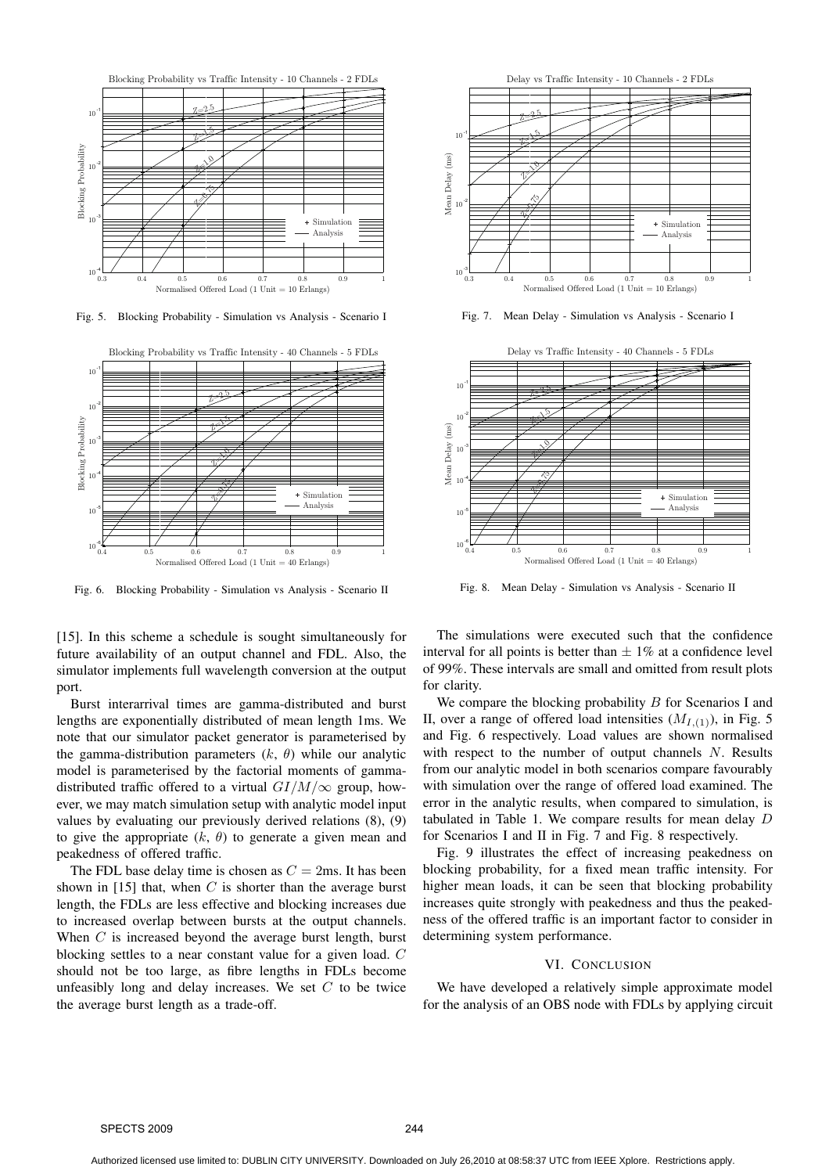

Fig. 5. Blocking Probability - Simulation vs Analysis - Scenario I



Fig. 6. Blocking Probability - Simulation vs Analysis - Scenario II

[15]. In this scheme a schedule is sought simultaneously for future availability of an output channel and FDL. Also, the simulator implements full wavelength conversion at the output port.

Burst interarrival times are gamma-distributed and burst lengths are exponentially distributed of mean length 1ms. We note that our simulator packet generator is parameterised by the gamma-distribution parameters  $(k, \theta)$  while our analytic model is parameterised by the factorial moments of gammadistributed traffic offered to a virtual  $GI/M/\infty$  group, however, we may match simulation setup with analytic model input values by evaluating our previously derived relations (8), (9) to give the appropriate  $(k, \theta)$  to generate a given mean and peakedness of offered traffic.

The FDL base delay time is chosen as  $C = 2$ ms. It has been shown in [15] that, when  $C$  is shorter than the average burst length, the FDLs are less effective and blocking increases due to increased overlap between bursts at the output channels. When  $C$  is increased beyond the average burst length, burst blocking settles to a near constant value for a given load. C should not be too large, as fibre lengths in FDLs become unfeasibly long and delay increases. We set  $C$  to be twice the average burst length as a trade-off.



Fig. 7. Mean Delay - Simulation vs Analysis - Scenario I



Fig. 8. Mean Delay - Simulation vs Analysis - Scenario II

The simulations were executed such that the confidence interval for all points is better than  $\pm 1\%$  at a confidence level of 99%. These intervals are small and omitted from result plots for clarity.

We compare the blocking probability  $B$  for Scenarios I and II, over a range of offered load intensities  $(M_{I,(1)})$ , in Fig. 5 and Fig. 6 respectively. Load values are shown normalised with respect to the number of output channels  $N$ . Results from our analytic model in both scenarios compare favourably with simulation over the range of offered load examined. The error in the analytic results, when compared to simulation, is tabulated in Table 1. We compare results for mean delay  $D$ for Scenarios I and II in Fig. 7 and Fig. 8 respectively.

Fig. 9 illustrates the effect of increasing peakedness on blocking probability, for a fixed mean traffic intensity. For higher mean loads, it can be seen that blocking probability increases quite strongly with peakedness and thus the peakedness of the offered traffic is an important factor to consider in determining system performance.

#### VI. CONCLUSION

We have developed a relatively simple approximate model for the analysis of an OBS node with FDLs by applying circuit

SPECTS 2009 244